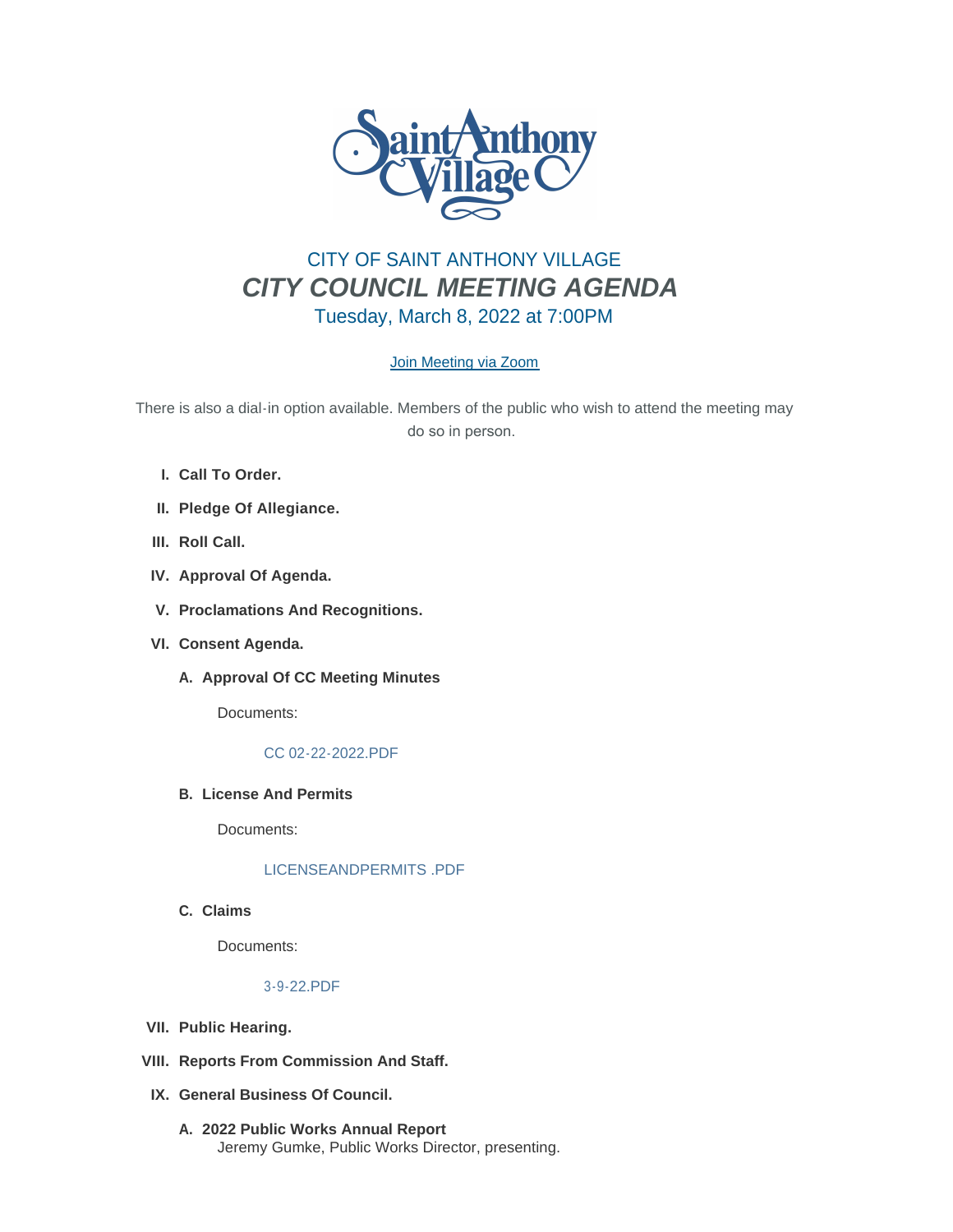

# CITY OF SAINT ANTHONY VILLAGE *CITY COUNCIL MEETING AGENDA* Tuesday, March 8, 2022 at 7:00PM

# [Join Meeting via Zoom](https://www.savmn.com/Calendar.aspx?EID=1568)

There is also a dial-in option available. Members of the public who wish to attend the meeting may do so in person.

- **Call To Order. I.**
- **Pledge Of Allegiance. II.**
- III. Roll Call.
- **Approval Of Agenda. IV.**
- **Proclamations And Recognitions. V.**
- **Consent Agenda. VI.**
	- A. Approval Of CC Meeting Minutes

Documents:

#### [CC 02-22-2022.PDF](http://www.savmn.com/AgendaCenter/ViewFile/Item/742?fileID=6720)

**License And Permits B.**

Documents:

# [LICENSEANDPERMITS .PDF](http://www.savmn.com/AgendaCenter/ViewFile/Item/772?fileID=6733)

**Claims C.**

Documents:

# [3-9-22.PDF](http://www.savmn.com/AgendaCenter/ViewFile/Item/774?fileID=6752)

- **Public Hearing. VII.**
- **Reports From Commission And Staff. VIII.**
- **General Business Of Council. IX.**
	- **2022 Public Works Annual Report A.** Jeremy Gumke, Public Works Director, presenting.